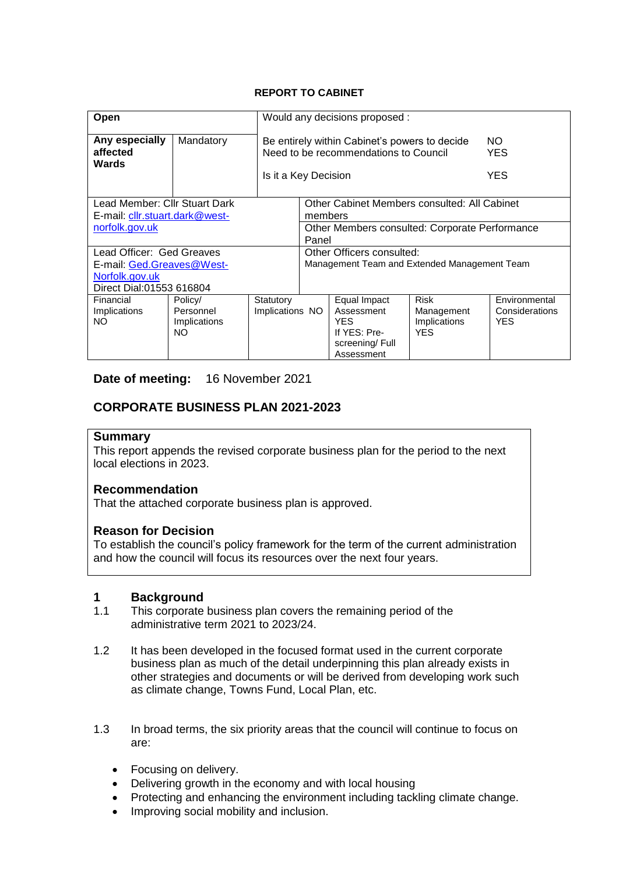### **REPORT TO CABINET**

| Open                                                                                                 |                                            |                              | Would any decisions proposed :                                                                                                                    |                                                                                    |                                                         |                                         |  |  |
|------------------------------------------------------------------------------------------------------|--------------------------------------------|------------------------------|---------------------------------------------------------------------------------------------------------------------------------------------------|------------------------------------------------------------------------------------|---------------------------------------------------------|-----------------------------------------|--|--|
| Any especially<br>affected<br>Wards                                                                  | Mandatory                                  |                              | Be entirely within Cabinet's powers to decide<br>NO.<br>Need to be recommendations to Council<br><b>YES</b><br><b>YES</b><br>Is it a Key Decision |                                                                                    |                                                         |                                         |  |  |
| Lead Member: Cllr Stuart Dark<br>E-mail: cllr.stuart.dark@west-<br>norfolk.gov.uk                    |                                            |                              | Other Cabinet Members consulted: All Cabinet<br>members<br>Other Members consulted: Corporate Performance                                         |                                                                                    |                                                         |                                         |  |  |
|                                                                                                      |                                            |                              | Panel                                                                                                                                             |                                                                                    |                                                         |                                         |  |  |
| Lead Officer: Ged Greaves<br>E-mail: Ged.Greaves@West-<br>Norfolk.gov.uk<br>Direct Dial:01553 616804 |                                            |                              | Other Officers consulted:<br>Management Team and Extended Management Team                                                                         |                                                                                    |                                                         |                                         |  |  |
| Financial<br>Implications<br>NO.                                                                     | Policy/<br>Personnel<br>Implications<br>NΟ | Statutory<br>Implications NO |                                                                                                                                                   | Equal Impact<br>Assessment<br>YES.<br>If YES: Pre-<br>screening/Full<br>Assessment | <b>Risk</b><br>Management<br>Implications<br><b>YES</b> | Environmental<br>Considerations<br>YES. |  |  |

### **Date of meeting:** 16 November 2021

## **CORPORATE BUSINESS PLAN 2021-2023**

### **Summary**

This report appends the revised corporate business plan for the period to the next local elections in 2023.

#### **Recommendation**

That the attached corporate business plan is approved.

#### **Reason for Decision**

To establish the council's policy framework for the term of the current administration and how the council will focus its resources over the next four years.

# **1 Background**

- This corporate business plan covers the remaining period of the administrative term 2021 to 2023/24.
- 1.2 It has been developed in the focused format used in the current corporate business plan as much of the detail underpinning this plan already exists in other strategies and documents or will be derived from developing work such as climate change, Towns Fund, Local Plan, etc.
- 1.3 In broad terms, the six priority areas that the council will continue to focus on are:
	- Focusing on delivery.
	- Delivering growth in the economy and with local housing
	- Protecting and enhancing the environment including tackling climate change.
	- Improving social mobility and inclusion.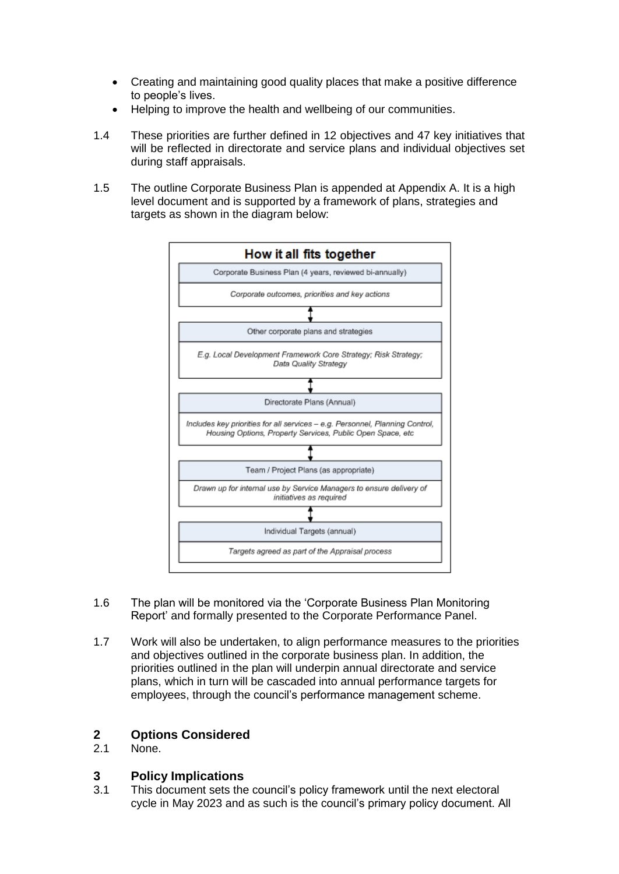- Creating and maintaining good quality places that make a positive difference to people's lives.
- Helping to improve the health and wellbeing of our communities.
- 1.4 These priorities are further defined in 12 objectives and 47 key initiatives that will be reflected in directorate and service plans and individual objectives set during staff appraisals.
- 1.5 The outline Corporate Business Plan is appended at Appendix A. It is a high level document and is supported by a framework of plans, strategies and targets as shown in the diagram below:



- 1.6 The plan will be monitored via the 'Corporate Business Plan Monitoring Report' and formally presented to the Corporate Performance Panel.
- 1.7 Work will also be undertaken, to align performance measures to the priorities and objectives outlined in the corporate business plan. In addition, the priorities outlined in the plan will underpin annual directorate and service plans, which in turn will be cascaded into annual performance targets for employees, through the council's performance management scheme.

### **2 Options Considered**

2.1 None.

### **3 Policy Implications**

3.1 This document sets the council's policy framework until the next electoral cycle in May 2023 and as such is the council's primary policy document. All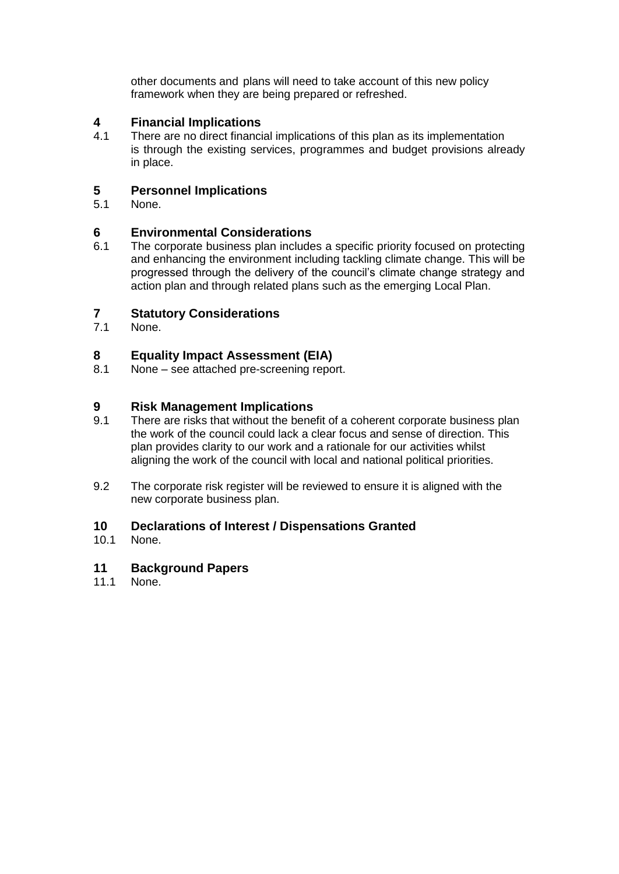other documents and plans will need to take account of this new policy framework when they are being prepared or refreshed.

# **4 Financial Implications**

There are no direct financial implications of this plan as its implementation is through the existing services, programmes and budget provisions already in place.

### **5 Personnel Implications**

5.1 None.

# **6 Environmental Considerations**

The corporate business plan includes a specific priority focused on protecting and enhancing the environment including tackling climate change. This will be progressed through the delivery of the council's climate change strategy and action plan and through related plans such as the emerging Local Plan.

### **7 Statutory Considerations**

7.1 None.

# **8 Equality Impact Assessment (EIA)**

None – see attached pre-screening report.

# **9 Risk Management Implications**<br>**9.1** There are risks that without the bene

- There are risks that without the benefit of a coherent corporate business plan the work of the council could lack a clear focus and sense of direction. This plan provides clarity to our work and a rationale for our activities whilst aligning the work of the council with local and national political priorities.
- 9.2 The corporate risk register will be reviewed to ensure it is aligned with the new corporate business plan.

## **10 Declarations of Interest / Dispensations Granted**

10.1 None.

### **11 Background Papers**

11.1 None.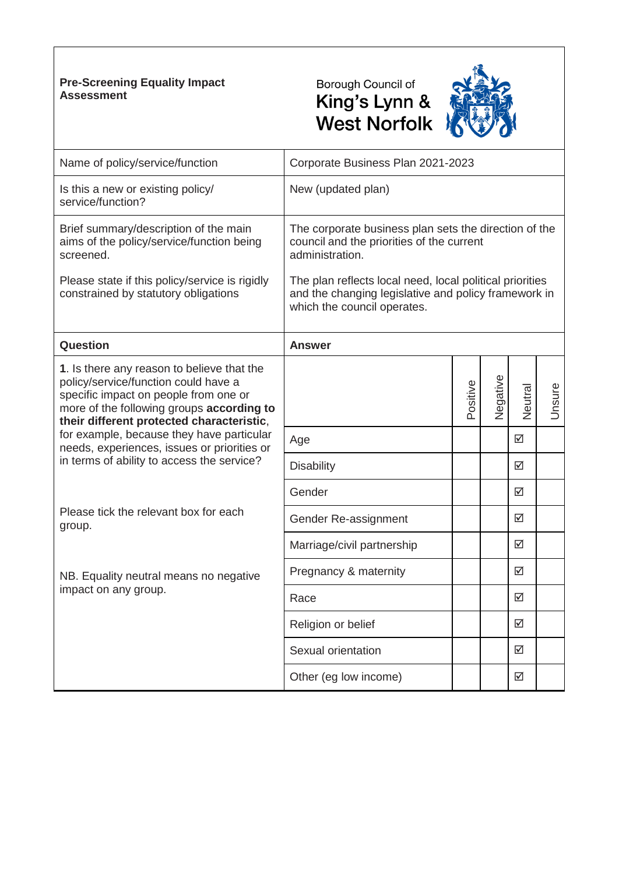### **Pre-Screening Equality Impact Assessment**





| Name of policy/service/function                                                                                                                                                                                       | Corporate Business Plan 2021-2023                                                                                                               |          |          |                         |        |  |
|-----------------------------------------------------------------------------------------------------------------------------------------------------------------------------------------------------------------------|-------------------------------------------------------------------------------------------------------------------------------------------------|----------|----------|-------------------------|--------|--|
| Is this a new or existing policy/<br>service/function?                                                                                                                                                                | New (updated plan)                                                                                                                              |          |          |                         |        |  |
| Brief summary/description of the main<br>aims of the policy/service/function being<br>screened.                                                                                                                       | The corporate business plan sets the direction of the<br>council and the priorities of the current<br>administration.                           |          |          |                         |        |  |
| Please state if this policy/service is rigidly<br>constrained by statutory obligations                                                                                                                                | The plan reflects local need, local political priorities<br>and the changing legislative and policy framework in<br>which the council operates. |          |          |                         |        |  |
| Question                                                                                                                                                                                                              | <b>Answer</b>                                                                                                                                   |          |          |                         |        |  |
| 1. Is there any reason to believe that the<br>policy/service/function could have a<br>specific impact on people from one or<br>more of the following groups according to<br>their different protected characteristic, |                                                                                                                                                 | Positive | Negative | Neutral                 | Unsure |  |
| for example, because they have particular<br>needs, experiences, issues or priorities or                                                                                                                              | Age                                                                                                                                             |          |          | $\overline{\mathsf{M}}$ |        |  |
| in terms of ability to access the service?                                                                                                                                                                            | <b>Disability</b>                                                                                                                               |          |          | ☑                       |        |  |
|                                                                                                                                                                                                                       | Gender                                                                                                                                          |          |          | ☑                       |        |  |
| Please tick the relevant box for each<br>group.                                                                                                                                                                       | Gender Re-assignment                                                                                                                            |          |          | ☑                       |        |  |
|                                                                                                                                                                                                                       | Marriage/civil partnership                                                                                                                      |          |          | ☑                       |        |  |
| NB. Equality neutral means no negative                                                                                                                                                                                | Pregnancy & maternity                                                                                                                           |          |          | ☑                       |        |  |
| impact on any group.                                                                                                                                                                                                  | Race                                                                                                                                            |          |          | ☑                       |        |  |
|                                                                                                                                                                                                                       | Religion or belief                                                                                                                              |          |          | ☑                       |        |  |
|                                                                                                                                                                                                                       | Sexual orientation                                                                                                                              |          |          | ☑                       |        |  |
|                                                                                                                                                                                                                       | Other (eg low income)                                                                                                                           |          |          | $\triangledown$         |        |  |